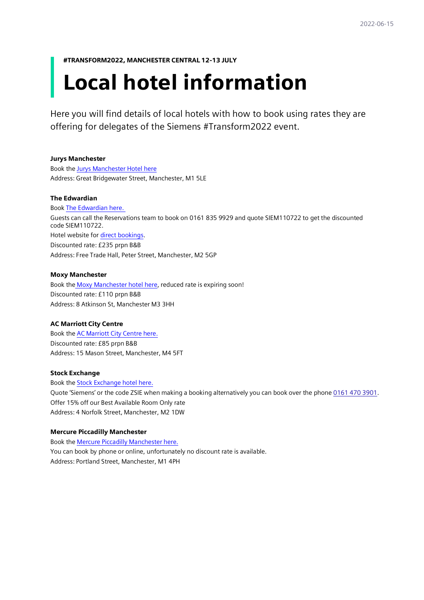#TRANSFORM2022, MANCHESTER CENTRAL 12-13 JULY

# Local hotel information

Here you will find details of local hotels with how to book using rates they are offering for delegates of the Siemens #Transform2022 event.

#### Jurys Manchester

Book the [Jurys Manchester Hotel here](https://www.jurysinns.com/bookings) Address: Great Bridgewater Street, Manchester, M1 5LE

#### The Edwardian

Book [The Edwardian here.](https://www.radissonhotels.com/en-us/booking/room-display?checkInDate=2022-07-11&checkOutDate=2022-07-13&adults%5B%5D=1&children%5B%5D=0&searchType=pac&promotionCode=SIEM22&brandFirst=rco&hotelCode=GBMANCHE) Guests can call the Reservations team to book on 0161 835 9929 and quote SIEM110722 to get the discounted code SIEM110722. Hotel website for [direct bookings.](https://www.radissonhotels.com/en-us/hotels/radisson-collection-edwardian-manchester) Discounted rate: £235 prpn B&B Address: Free Trade Hall, Peter Street, Manchester, M2 5GP

#### Moxy Manchester

Book the [Moxy Manchester hotel here](https://www.marriott.com/event-reservations/reservation-link.mi?id=1647944927456&key=GRP&app=resvlink), reduced rate is expiring soon! Discounted rate: £110 prpn B&B Address: 8 Atkinson St, Manchester M3 3HH

## AC Marriott City Centre

Book the [AC Marriott City Centre here.](https://www.marriott.com/event-reservations/reservation-link.mi?id=1648112636173&key=CORP&app=resvlink) Discounted rate: £85 prpn B&B Address: 15 Mason Street, Manchester, M4 5FT

#### Stock Exchange

Book the [Stock Exchange hotel here.](https://stockexchangehotel.co.uk/) Quote 'Siemens' or the code ZSIE when making a booking alternatively you can book over the phone 0161 470 3901. Offer 15% off our Best Available Room Only rate Address: 4 Norfolk Street, Manchester, M2 1DW

## Mercure Piccadilly Manchester

Book the [Mercure Piccadilly Manchester here.](https://www.mercuremanchester.co.uk/) You can book by phone or online, unfortunately no discount rate is available. Address: Portland Street, Manchester, M1 4PH